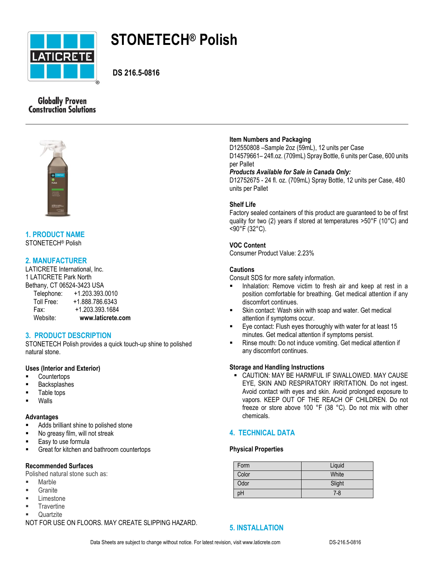

# **STONETECH® Polish**

**DS 216.5-0816**

# **Globally Proven Construction Solutions**



#### **1. PRODUCT NAME** STONETECH® Polish

# **2. MANUFACTURER**

LATICRETE International, Inc. 1 LATICRETE Park North Bethany, CT 06524-3423 USA Telephone: +1.203.393.0010 Toll Free: +1.888.786.6343 Fax: +1.203.393.1684 Website: **www.laticrete.com**

# **3. PRODUCT DESCRIPTION**

STONETECH Polish provides a quick touch-up shine to polished natural stone.

# **Uses (Interior and Exterior)**

- **Countertops**
- Backsplashes
- Table tops
- Walls

#### **Advantages**

- Adds brilliant shine to polished stone
- No greasy film, will not streak
- Easy to use formula
- **Great for kitchen and bathroom countertops**

#### **Recommended Surfaces**

Polished natural stone such as:

- **Marble**
- **Granite**
- **Limestone**
- **Travertine**
- **Quartzite**

NOT FOR USE ON FLOORS. MAY CREATE SLIPPING HAZARD.

# **Item Numbers and Packaging**

D12550808 –Sample 2oz (59mL), 12 units per Case D14579661– 24fl.oz. (709mL) Spray Bottle, 6 units per Case, 600 units per Pallet

*Products Available for Sale in Canada Only:*

D12752675 - 24 fl. oz. (709mL) Spray Bottle, 12 units per Case, 480 units per Pallet

# **Shelf Life**

Factory sealed containers of this product are guaranteed to be of first quality for two (2) years if stored at temperatures >50°F (10°C) and <90°F (32°C).

# **VOC Content**

Consumer Product Value: 2.23%

# **Cautions**

Consult SDS for more safety information.

- **Inhalation: Remove victim to fresh air and keep at rest in a** position comfortable for breathing. Get medical attention if any discomfort continues.
- Skin contact: Wash skin with soap and water. Get medical attention if symptoms occur.
- Eye contact: Flush eyes thoroughly with water for at least 15 minutes. Get medical attention if symptoms persist.
- Rinse mouth: Do not induce vomiting. Get medical attention if any discomfort continues.

## **Storage and Handling Instructions**

 CAUTION: MAY BE HARMFUL IF SWALLOWED. MAY CAUSE EYE, SKIN AND RESPIRATORY IRRITATION. Do not ingest. Avoid contact with eyes and skin. Avoid prolonged exposure to vapors. KEEP OUT OF THE REACH OF CHILDREN. Do not freeze or store above 100 °F (38 °C). Do not mix with other chemicals.

# **4. TECHNICAL DATA**

#### **Physical Properties**

| Form  | Liquid |
|-------|--------|
| Color | White  |
| Odor  | Slight |
| рH    | $7-8$  |

**5. INSTALLATION**